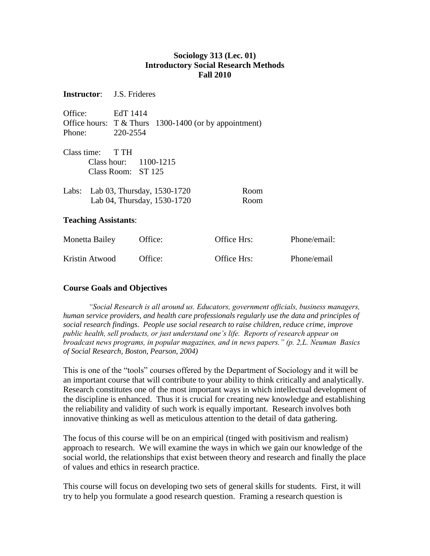### **Sociology 313 (Lec. 01) Introductory Social Research Methods Fall 2010**

| <b>Instructor:</b> J.S. Frideres |                                                                                    |             |              |  |  |  |  |
|----------------------------------|------------------------------------------------------------------------------------|-------------|--------------|--|--|--|--|
| Office:<br>Phone:                | EdT 1414<br>Office hours: $T &$ Thurs 1300-1400 (or by appointment)<br>220-2554    |             |              |  |  |  |  |
| Class time: $TTH$                | Class hour: $1100-1215$<br>Class Room: ST 125<br>Labs: Lab 03, Thursday, 1530-1720 | Room        |              |  |  |  |  |
|                                  | Lab 04, Thursday, 1530-1720                                                        | Room        |              |  |  |  |  |
| <b>Teaching Assistants:</b>      |                                                                                    |             |              |  |  |  |  |
| Monetta Bailey                   | Office:                                                                            | Office Hrs: | Phone/email: |  |  |  |  |
| Kristin Atwood                   | Office:                                                                            | Office Hrs: | Phone/email  |  |  |  |  |

#### **Course Goals and Objectives**

*"Social Research is all around us. Educators, government officials, business managers, human service providers, and health care professionals regularly use the data and principles of social research findings. People use social research to raise children, reduce crime, improve public health, sell products, or just understand one's life. Reports of research appear on broadcast news programs, in popular magazines, and in news papers." (p. 2,L. Neuman Basics of Social Research, Boston, Pearson, 2004)*

This is one of the "tools" courses offered by the Department of Sociology and it will be an important course that will contribute to your ability to think critically and analytically. Research constitutes one of the most important ways in which intellectual development of the discipline is enhanced. Thus it is crucial for creating new knowledge and establishing the reliability and validity of such work is equally important. Research involves both innovative thinking as well as meticulous attention to the detail of data gathering.

The focus of this course will be on an empirical (tinged with positivism and realism) approach to research. We will examine the ways in which we gain our knowledge of the social world, the relationships that exist between theory and research and finally the place of values and ethics in research practice.

This course will focus on developing two sets of general skills for students. First, it will try to help you formulate a good research question. Framing a research question is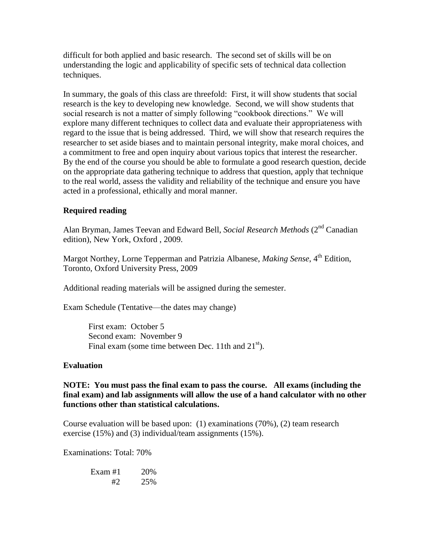difficult for both applied and basic research. The second set of skills will be on understanding the logic and applicability of specific sets of technical data collection techniques.

In summary, the goals of this class are threefold: First, it will show students that social research is the key to developing new knowledge. Second, we will show students that social research is not a matter of simply following "cookbook directions." We will explore many different techniques to collect data and evaluate their appropriateness with regard to the issue that is being addressed. Third, we will show that research requires the researcher to set aside biases and to maintain personal integrity, make moral choices, and a commitment to free and open inquiry about various topics that interest the researcher. By the end of the course you should be able to formulate a good research question, decide on the appropriate data gathering technique to address that question, apply that technique to the real world, assess the validity and reliability of the technique and ensure you have acted in a professional, ethically and moral manner.

## **Required reading**

Alan Bryman, James Teevan and Edward Bell, *Social Research Methods* (2<sup>nd</sup> Canadian edition), New York, Oxford , 2009.

Margot Northey, Lorne Tepperman and Patrizia Albanese, *Making Sense*, 4<sup>th</sup> Edition, Toronto, Oxford University Press, 2009

Additional reading materials will be assigned during the semester.

Exam Schedule (Tentative—the dates may change)

First exam: October 5 Second exam: November 9 Final exam (some time between Dec. 11th and  $21<sup>st</sup>$ ).

#### **Evaluation**

**NOTE: You must pass the final exam to pass the course. All exams (including the final exam) and lab assignments will allow the use of a hand calculator with no other functions other than statistical calculations.**

Course evaluation will be based upon: (1) examinations (70%), (2) team research exercise (15%) and (3) individual/team assignments (15%).

Examinations: Total: 70%

| Exam $#1$ | 20% |
|-----------|-----|
| #2        | 25% |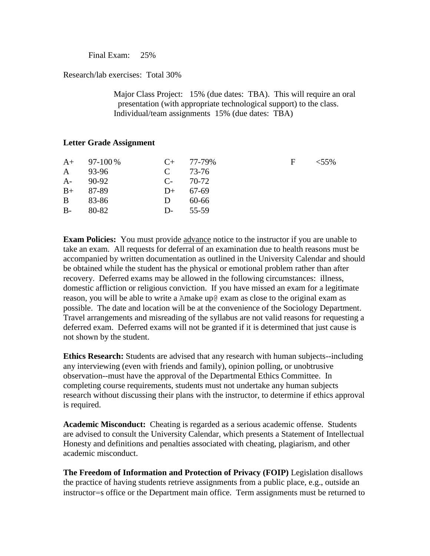Final Exam: 25%

Research/lab exercises: Total 30%

Major Class Project: 15% (due dates: TBA). This will require an oral presentation (with appropriate technological support) to the class. Individual/team assignments 15% (due dates: TBA)

### **Letter Grade Assignment**

|      | $A+$ 97-100 % |      | $C_{+}$ 77-79% | F | $< 55\%$ |
|------|---------------|------|----------------|---|----------|
|      | A 93-96       |      | $C = 73-76$    |   |          |
| $A-$ | 90-92         |      | $C_{2}$ 70-72  |   |          |
| $B+$ | 87-89         |      | $D+ 67-69$     |   |          |
|      | B 83-86       | D    | 60-66          |   |          |
| $B-$ | - 80-82       | $D-$ | 55-59          |   |          |
|      |               |      |                |   |          |

**Exam Policies:** You must provide advance notice to the instructor if you are unable to take an exam. All requests for deferral of an examination due to health reasons must be accompanied by written documentation as outlined in the University Calendar and should be obtained while the student has the physical or emotional problem rather than after recovery. Deferred exams may be allowed in the following circumstances: illness, domestic affliction or religious conviction. If you have missed an exam for a legitimate reason, you will be able to write a Amake up@ exam as close to the original exam as possible. The date and location will be at the convenience of the Sociology Department. Travel arrangements and misreading of the syllabus are not valid reasons for requesting a deferred exam. Deferred exams will not be granted if it is determined that just cause is not shown by the student.

**Ethics Research:** Students are advised that any research with human subjects--including any interviewing (even with friends and family), opinion polling, or unobtrusive observation--must have the approval of the Departmental Ethics Committee. In completing course requirements, students must not undertake any human subjects research without discussing their plans with the instructor, to determine if ethics approval is required.

**Academic Misconduct:** Cheating is regarded as a serious academic offense. Students are advised to consult the University Calendar, which presents a Statement of Intellectual Honesty and definitions and penalties associated with cheating, plagiarism, and other academic misconduct.

**The Freedom of Information and Protection of Privacy (FOIP)** Legislation disallows the practice of having students retrieve assignments from a public place, e.g., outside an instructor=s office or the Department main office. Term assignments must be returned to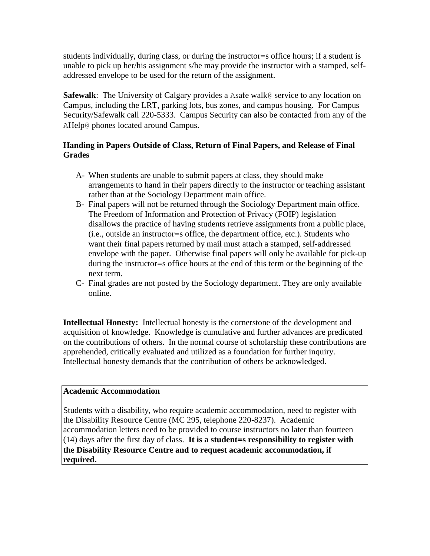students individually, during class, or during the instructor=s office hours; if a student is unable to pick up her/his assignment s/he may provide the instructor with a stamped, selfaddressed envelope to be used for the return of the assignment.

**Safewalk**: The University of Calgary provides a Asafe walk@ service to any location on Campus, including the LRT, parking lots, bus zones, and campus housing. For Campus Security/Safewalk call 220-5333. Campus Security can also be contacted from any of the AHelp@ phones located around Campus.

# **Handing in Papers Outside of Class, Return of Final Papers, and Release of Final Grades**

- A- When students are unable to submit papers at class, they should make arrangements to hand in their papers directly to the instructor or teaching assistant rather than at the Sociology Department main office.
- B- Final papers will not be returned through the Sociology Department main office. The Freedom of Information and Protection of Privacy (FOIP) legislation disallows the practice of having students retrieve assignments from a public place, (i.e., outside an instructor=s office, the department office, etc.). Students who want their final papers returned by mail must attach a stamped, self-addressed envelope with the paper. Otherwise final papers will only be available for pick-up during the instructor=s office hours at the end of this term or the beginning of the next term.
- C- Final grades are not posted by the Sociology department. They are only available online.

**Intellectual Honesty:** Intellectual honesty is the cornerstone of the development and acquisition of knowledge. Knowledge is cumulative and further advances are predicated on the contributions of others. In the normal course of scholarship these contributions are apprehended, critically evaluated and utilized as a foundation for further inquiry. Intellectual honesty demands that the contribution of others be acknowledged.

#### **Academic Accommodation**

Students with a disability, who require academic accommodation, need to register with the Disability Resource Centre (MC 295, telephone 220-8237). Academic accommodation letters need to be provided to course instructors no later than fourteen (14) days after the first day of class. **It is a student=s responsibility to register with the Disability Resource Centre and to request academic accommodation, if required.**